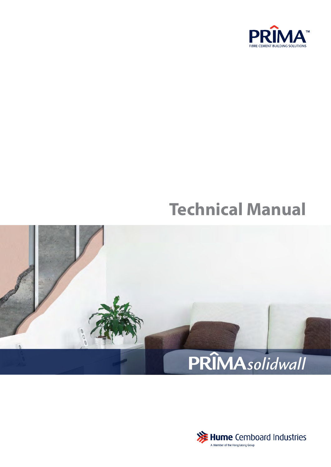

# **Technical Manual**



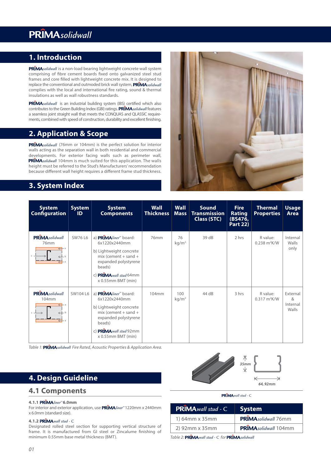### **1. Introduction**

PRIMAsolidwall is a non-load bearing lightweight concrete wall system comprising of fibre cement boards fixed onto galvanized steel stud frames and core filled with lightweight concrete mix. It is designed to replace the conventional and outmoded brick wall system, **PRIMA** solidwall complies with the local and international fire rating, sound & thermal insulations as well as wall robustness standards.

**PRIMA**solidwall is an industrial building system (IBS) certified which also contributes to the Green Building Index (GBI) ratings. **PRIMA** solidwall features a seamless joint straight wall that meets the CONQUAS and QLASSIC requirements, combined with speed of construction, durability and excellent finishing.

### **2. Application & Scope**

PRIMAsolidwall (76mm or 104mm) is the perfect solution for interior walls acting as the separation wall in both residential and commercial developments. For exterior facing walls such as perimeter wall, **PRIMA** solidwall 104mm is much suited for this application. The walls height must be referred to the Stud's Manufacturers' recommendation because different wall height requires a different frame stud thickness.

### **3. System Index**



| <b>System</b><br><b>Configuration</b>              | <b>System</b><br>ID | <b>System</b><br><b>Components</b>                                                                                                                                                                    | <b>Wall</b><br><b>Thickness</b> | Wall<br><b>Mass</b>      | <b>Sound</b><br><b>Transmission</b><br>Class (STC) | <b>Fire</b><br><b>Rating</b><br>(BS476,<br><b>Part 22)</b> | <b>Thermal</b><br><b>Properties</b>        | <b>Usage</b><br>Area               |
|----------------------------------------------------|---------------------|-------------------------------------------------------------------------------------------------------------------------------------------------------------------------------------------------------|---------------------------------|--------------------------|----------------------------------------------------|------------------------------------------------------------|--------------------------------------------|------------------------------------|
| <b>PRIMAsolidwall</b><br>76mm<br>$\leftrightarrow$ | SW76 L6             | a) PRIMAliner <sup>®</sup> board:<br>6x1220x2440mm<br>b) Lightweight concrete<br>$mix$ (cement + sand +<br>expanded polystyrene<br>beads)<br>c) $PRIMA$ <i>wall stud</i> 64mm<br>$x$ 0.55mm BMT (min) | 76mm                            | 76<br>kg/m <sup>2</sup>  | 39 dB                                              | 2 hrs                                                      | R value:<br>$0.238 \text{ m}^2 \text{K/W}$ | Internal<br>Walls<br>only          |
| <b>PRIMA</b> solidwall<br>104mm<br>. h             | SW104 L6            | a) PRÎMA <i>liner</i> ™ board:<br>6x1220x2440mm<br>b) Lightweight concrete<br>$mix$ (cement + sand +<br>expanded polystyrene<br>beads)<br>c) $PRIMA$ <i>wall stud</i> 92mm<br>x 0.55mm BMT (min)      | 104mm                           | 100<br>kg/m <sup>2</sup> | 44 dB                                              | 3 hrs                                                      | R value:<br>$0.317 \text{ m}^2 \text{K/W}$ | External<br>&<br>Internal<br>Walls |

Table 1: PRIMAsolidwall Fire Rated, Acoustic Properties & Application Area.

### **4. Design Guideline**

### **4.1 Components**

### **4.1.1 PRIMA** liner™6.0mm

For interior and exterior application, use PRIMA*liner*™1220mm x 2440mm x 6.0mm (standard size).

#### **4.1.2** *wall stud -* C

Designated rolled steel section for supporting vertical structure of frame. It is manufactured from GI steel or Zincalume finishing of minimum 0.55mm base metal thickness (BMT).



#### **PRÎMA** wall stud - C

| <b>PRIMA</b> wall stud - C | <b>System</b>        |
|----------------------------|----------------------|
| 1) 64mm x 35mm             | PRIMAsolidwall 76mm  |
| 2) 92mm x 35mm             | PRÎMAsolidwall 104mm |

*Table 2:* **PRIMA** wall stud - C for **PRIMA** solidwall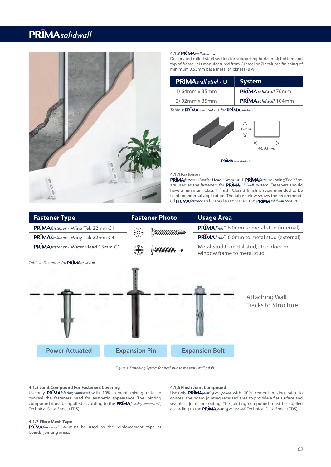

### 4.1.3 PRIMA wall stud - U

Designated rolled steel section for supporting horizontal; bottom and top of frame. It is manufactured from GI steel or Zincalume finishing of minimum 0.55mm base metal thickness (BMT).

| <b>PRIMA</b> wall stud - U | <b>System</b>        |
|----------------------------|----------------------|
| 1) 64mm x 35mm             | PRIMAsolidwall 76mm  |
| 2) 92mm x 35mm             | PRÎMAsolidwall 104mm |

*Table 3:* PRIMA wall stud - U for PRIMA solidwall



**PRÎMA** wall stud - C

#### **4.1.4 Fasteners**

PRIMA fastener - Wafer Head 13mm and PRIMA fastener - Wing Tek 22cm are used as the fasteners for **PRIMA**solidwall system. Fasteners should have a minimum Class 1 finish. Class 3 finish is recommended to be used for external application. The table below shows the recommended PRIMA fastener to be used to construct the PRIMA solidwall system.

| <b>Fastener Type</b>                          | <b>Fastener Photo</b>                 | <b>Usage Area</b>                                                      |  |  |
|-----------------------------------------------|---------------------------------------|------------------------------------------------------------------------|--|--|
| PRIMA fastener - Wing Tek 22mm C1             | <b>SHOREHOUS</b><br>$\leftrightarrow$ | <b>PRÎMA</b> liner <sup>™</sup> 6.0mm to metal stud (internal)         |  |  |
| <b>PRÎMA</b> fastener - Wing Tek 22mm C3      |                                       | <b>PRÎMA</b> liner <sup>™</sup> 6.0mm to metal stud (external)         |  |  |
| PRÎMA fastener - Wafer Head 13mm C1           | <b>HUNTURITY</b><br>$\bigoplus$       | Metal Stud to metal stud, steel door or<br>window frame to metal stud. |  |  |
| Table 4: Fasteners for <b>PRÎMA</b> solidwall |                                       |                                                                        |  |  |

Attaching Wall Tracks to Structure **Power Actuated Expansion Pin Expansion Bolt**

*Figure 1: Fastening system for steel stud to masonry wall / slab. Figure 1: Fastening System for steel stud to masonry wall / slab.*

#### **4.1.5 Joint Compound For Fasteners Covering**

Use only PRIMAjointing compound with 10% cement mixing ratio to conceal the fasteners head for aesthetic appearance. The jointing compound must be applied according to the PRIMA*jointing compound*, Technical Data Sheet (TDS).

### **4.1.7 Fibre Mesh Tape**

**PRIMA** fibre mesh tape must be used as the reinforcement tape at boards' jointing areas.

#### **4.1.6 Flush Joint Compound**

Use only PRIMAjointing compound with 10% cement mixing ratio to conceal the board jointing recessed area to provide a flat surface and seamless joint for coating. The jointing compound must be applied according to the PRIMA jointing compound Technical Data Sheet (TDS).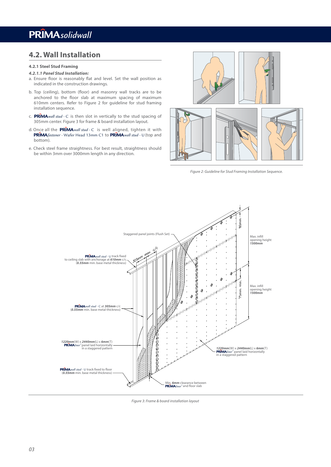### **4.2. Wall Installation**

### **4.2.1 Steel Stud Framing**

### *4.2.1.1 Panel Stud Installation:*

- a. Ensure floor is reasonably flat and level. Set the wall position as indicated in the construction drawings.
- b. Top (ceiling), bottom (floor) and masonry wall tracks are to be anchored to the floor slab at maximum spacing of maximum 610mm centers. Refer to Figure 2 for guideline for stud framing installation sequence.
- c. PRIMA wall stud C is then slot in vertically to the stud spacing of 305mm center. Figure 3 for frame & board installation layout.
- d. Once all the PRIMA wall stud C is well aligned, tighten it with **PRIMA** fastener - Wafer Head 13mm C1 to PRIMA wall stud - U (top and bottom).
- e. Check steel frame straightness. For best result, straightness should be within 3mm over 3000mm length in any direction.



*Figure 2: Guideline for Stud Framing Installation Sequence.*



*Figure 3: Frame & board installation layout*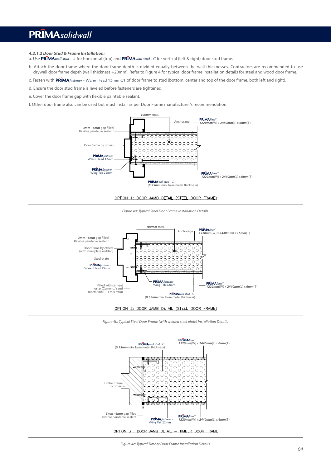### *4.2.1.2 Door Stud & Frame Installation:*

a. Use **PRIMA** wall stud - U for horizontal (top) and **PRIMA** wall stud - C for vertical (left & right) door stud frame.

- b. Attach the door frame where the door frame depth is divided equally between the wall thicknesses. Contractors are recommended to use drywall door frame depth (wall thickness +20mm). Refer to Figure 4 for typical door frame installation details for steel and wood door frame.
- c. Fasten with **PRIMA***fastener* Wafer Head 13mm C1 of door frame to stud (bottom, center and top of the door frame, both left and right).
- d. Ensure the door stud frame is leveled before fasteners are tightened.
- e. Cover the door frame gap with flexible paintable sealant.
- f. Other door frame also can be used but must install as per Door Frame manufacturer's recommendation.



### OPTION 1: DOOR JAMB DETAIL (STEEL DOOR FRAME)







*Figure 4b: Typical Steel Door Frame (with welded steel plate) Installation Details*



OPTION 3 : DOOR JAMB DETAIL - TIMBER DOOR FRAME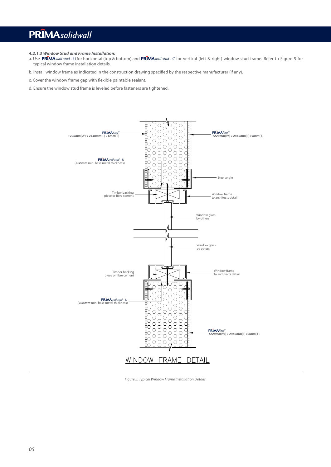### *4.2.1.3 Window Stud and Frame Installation:*

- a. Use PRIMA*wall stud -* U for horizontal (top & bottom) and PRIMA*wall stud -* C for vertical (left & right) window stud frame. Refer to Figure 5 for typical window frame installation details.
- b. Install window frame as indicated in the construction drawing specified by the respective manufacturer (if any).
- c. Cover the window frame gap with flexible paintable sealant.
- d. Ensure the window stud frame is leveled before fasteners are tightened.



*Figure 5: Typical Window Frame Installation Details*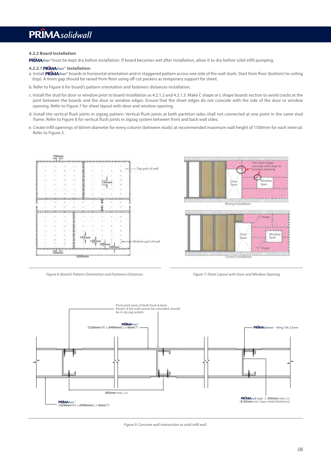### **4.2.2 Board Installation**

**PRIMA** liner™ must be kept dry before installation. If board becomes wet after installation, allow it to dry before solid infill pumping.

#### *4.2.2.1 Installation: liner™*

- a. Install **PRİMA***liner*™ boards in horizontal orientation and in staggered pattern across one side of the wall studs. Start from floor (bottom) to ceiling (top). A 6mm gap should be raised from floor using off cut packers as temporary support for sheet.
- b. Refer to Figure 6 for board's pattern orientation and fasteners distances installation.
- c. Install the stud for door or window prior to board installation as 4.2.1.2 and 4.2.1.3. Make C shape or L shape boards section to avoid cracks at the joint between the boards and the door or window edges. Ensure that the sheet edges do not coincide with the side of the door or window opening. Refer to Figure 7 for sheet layout with door and window opening.
- d. Install the vertical flush joints in zigzag pattern. Vertical flush joints at both partition sides shall not connected at one point in the same stud frame. Refer to Figure 8 for vertical flush joints in zigzag system between front and back wall sides.
- e. Create inll openings of 60mm diameter for every column (between studs) at recommended maximum wall height of 1500mm for each interval. Refer to Figure 3.









*Figure 9: Concrete wall intersection to solid infill wall*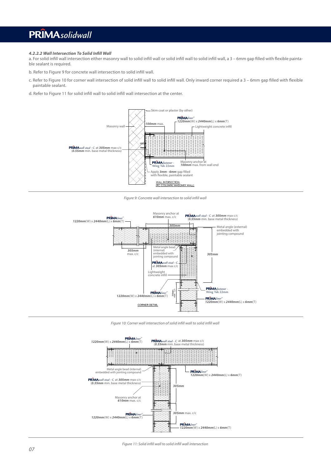### *4.2.2.2 Wall Intersection To Solid Inll Wall*

a. For solid infill wall intersection either masonry wall to solid infill wall or solid infill wall to solid infill wall, a 3 - 6mm gap filled with flexible paintable sealant is required.

b. Refer to Figure 9 for concrete wall intersection to solid infill wall.

- c. Refer to Figure 10 for corner wall intersection of solid infill wall to solid infill wall. Only inward corner required a 3 6mm gap filled with flexible paintable sealant.
- d. Refer to Figure 11 for solid infill wall to solid infill wall intersection at the center.



*Figure 9: Concrete wall intersection to solid inll wall*



*Figure 10: Corner wall intersection of solid infill wall to solid infill wall* 

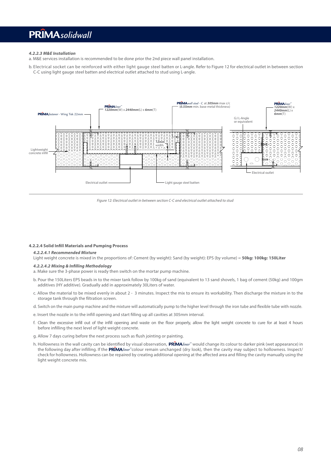### *4.2.2.3 M&E Installation*

a. M&E services installation is recommended to be done prior the 2nd piece wall panel installation.

b. Electrical socket can be reinforced with either light gauge steel batten or L-angle. Refer to Figure 12 for electrical outlet in between section C-C using light gauge steel batten and electrical outlet attached to stud using L-angle.



*Figure 12: Electrical outlet in between section C-C and electrical outlet attached to stud*

### **4.2.2.4 Solid Infill Materials and Pumping Process**

### *4.2.2.4.1 Recommended Mixture*

Light weight concrete is mixed in the proportions of: Cement (by weight): Sand (by weight): EPS (by volume) = **50kg: 100kg: 150Liter**

### *4.2.2.4.2 Mixing & Inlling Methodology*

- a. Make sure the 3-phase power is ready then switch on the mortar pump machine.
- b. Pour the 150Liters EPS beads in to the mixer tank follow by 100kg of sand (equivalent to 13 sand shovels, 1 bag of cement (50kg) and 100gm additives (HY additive). Gradually add in approximately 30Liters of water.
- c. Allow the material to be mixed evenly in about 2 3 minutes. Inspect the mix to ensure its workability. Then discharge the mixture in to the storage tank through the filtration screen.
- d. Switch on the main pump machine and the mixture will automatically pump to the higher level through the iron tube and flexible tube with nozzle.
- e. Insert the nozzle in to the infill opening and start filling up all cavities at 305mm interval.
- f. Clean the excessive infill out of the infill opening and waste on the floor properly, allow the light weight concrete to cure for at least 4 hours before infilling the next level of light weight concrete.
- g. Allow 7 days curing before the next process such as flush jointing or painting.
- h. Hollowness in the wall cavity can be identified by visual observation, **PRIMA**liner<sup>™</sup> would change its colour to darker pink (wet appearance) in the following day after infilling. If the PR**IMA***liner*"colour remain unchanged (dry look), then the cavity may subject to hollowness. Inspect/ check for hollowness. Hollowness can be repaired by creating additional opening at the affected area and filling the cavity manually using the light weight concrete mix.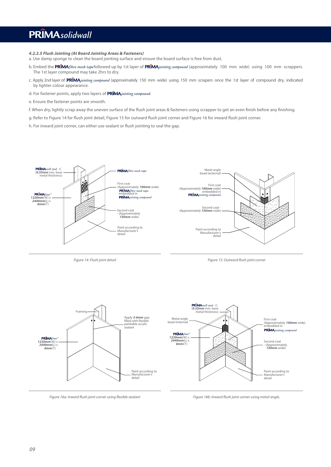*4.2.2.5 Flush Jointing (At Board Jointing Areas & Fasteners)*

a. Use damp sponge to clean the board jointing surface and ensure the board surface is free from dust.

- b. Embed the PRIMA *fibre mesh tape* followed up by 1st layer of PRIMA *jointing compound* (approximately 100 mm wide) using 100 mm scrappers. The 1st layer compound may take 2hrs to dry.
- c. Apply 2nd layer of PRIMA*jointing compound* (approximately 150 mm wide) using 150 mm scrapers once the 1st layer of compound dry, indicated by lighter colour appearance.
- d. For fastener points, apply two layers of PRIMA*jointing compound*.
- e. Ensure the fastener points are smooth.
- f. When dry, lightly scrap away the uneven surface of the flush joint areas & fasteners using scrapper to get an even finish before any finishing.
- g. Refer to Figure 14 for flush joint detail, Figure 15 for outward flush joint corner and Figure 16 for inward flush joint corner.
- h. For inward joint corner, can either use sealant or flush jointing to seal the gap.



*Figure 14: Flush joint detail*

**Figure 15: Outward flush joint corner** 



Figure 16a: Inward flush joint corner using flexible sealant

Figure 16b: Inward flush joint corner using metal angle.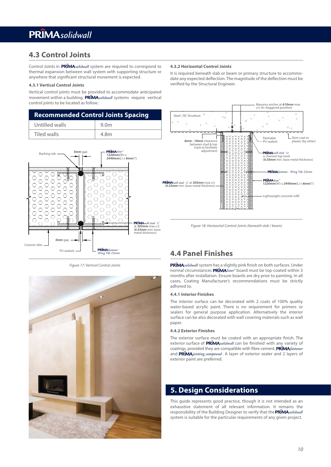### **4.3 Control Joints**

Control Joints in PRIMAsolidwall system are required to correspond to thermal expansion between wall system with supporting structure or anywhere that significant structural movement is expected.

#### **4.3.1 Vertical Control Joints**

Vertical control joints must be provided to accommodate anticipated movement within a building. **PRIMA**solidwall systems require vertical control joints to be located as follow;

| <b>Recommended Control Joints Spacing</b> |                  |  |
|-------------------------------------------|------------------|--|
| Untilled walls                            | 9.0 <sub>m</sub> |  |
| Tiled walls                               | 4.8m             |  |



*Figure 17: Vertical Control Joints*



#### **4.3.2 Horizontal Control Joints**

It is required beneath slab or beam or primary structure to accommodate any expected deflection. The magnitude of the deflection must be verified by the Structural Engineer.



*Figure 18: Horizontal Control Joints (beneath slab / beam)*

### **4.4 Panel Finishes**

PRIMAsolidwall system has a slightly pink finish on both surfaces. Under normal circumstances PRIMA liner<sup>™</sup> board must be top-coated within 3 months after installation. Ensure boards are dry prior to painting. In all cases, Coating Manufacturer's recommendations must be strictly adhered to.

### **4.4.1 Interior Finishes**

The interior surface can be decorated with 2 coats of 100% quality water-based acrylic paint. There is no requirement for primers or sealers for general purpose application. Alternatively the interior surface can be also decorated with wall covering materials such as wall paper.

#### **4.4.2 Exterior Finishes**

The exterior surface must be coated with an appropriate finish. The exterior surface of PRIMAsolidwall can be finished with any variety of coatings, provided they are compatible with fibre cement, **PRIMA** fastener and PRIMAjointing compound. A layer of exterior sealer and 2 layers of exterior paint are preferred.

### **5. Design Considerations**

This guide represents good practice, though it is not intended as an exhaustive statement of all relevant information. It remains the responsibility of the Building Designer to verify that the **PRIMA** solidwall system is suitable for the particular requirements of any given project.